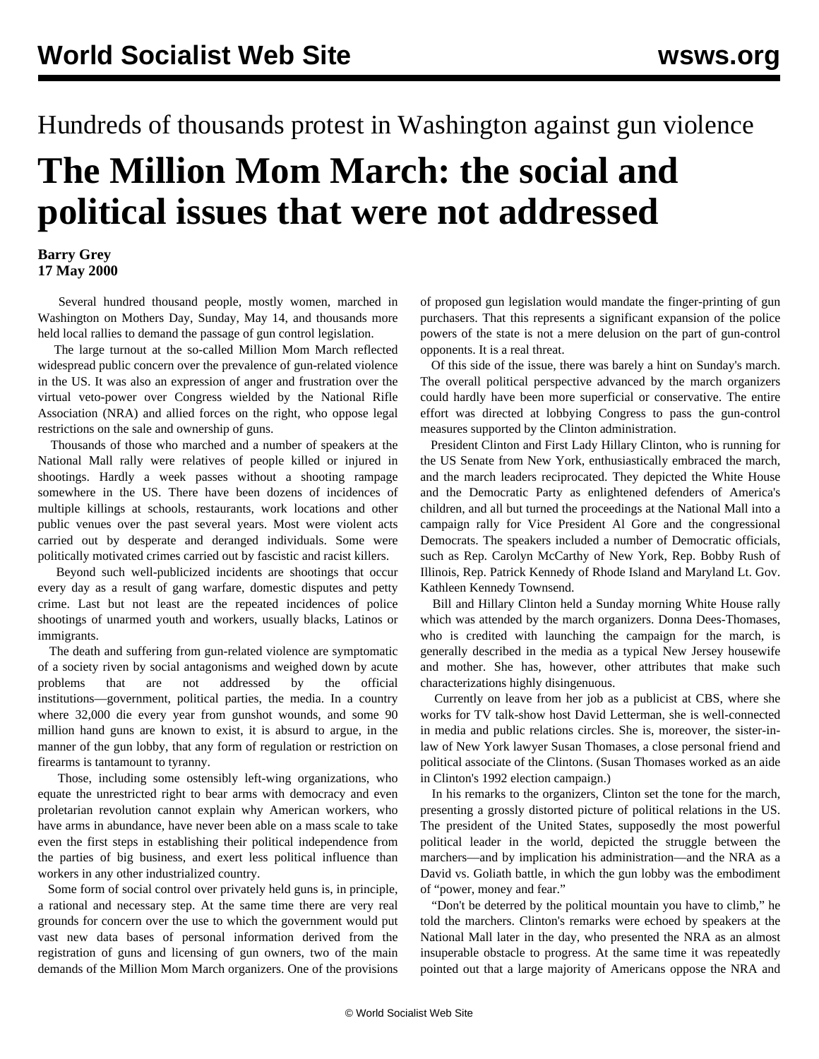## Hundreds of thousands protest in Washington against gun violence

## **The Million Mom March: the social and political issues that were not addressed**

## **Barry Grey 17 May 2000**

 Several hundred thousand people, mostly women, marched in Washington on Mothers Day, Sunday, May 14, and thousands more held local rallies to demand the passage of gun control legislation.

 The large turnout at the so-called Million Mom March reflected widespread public concern over the prevalence of gun-related violence in the US. It was also an expression of anger and frustration over the virtual veto-power over Congress wielded by the National Rifle Association (NRA) and allied forces on the right, who oppose legal restrictions on the sale and ownership of guns.

 Thousands of those who marched and a number of speakers at the National Mall rally were relatives of people killed or injured in shootings. Hardly a week passes without a shooting rampage somewhere in the US. There have been dozens of incidences of multiple killings at schools, restaurants, work locations and other public venues over the past several years. Most were violent acts carried out by desperate and deranged individuals. Some were politically motivated crimes carried out by fascistic and racist killers.

 Beyond such well-publicized incidents are shootings that occur every day as a result of gang warfare, domestic disputes and petty crime. Last but not least are the repeated incidences of police shootings of unarmed youth and workers, usually blacks, Latinos or immigrants.

 The death and suffering from gun-related violence are symptomatic of a society riven by social antagonisms and weighed down by acute problems that are not addressed by the official institutions—government, political parties, the media. In a country where 32,000 die every year from gunshot wounds, and some 90 million hand guns are known to exist, it is absurd to argue, in the manner of the gun lobby, that any form of regulation or restriction on firearms is tantamount to tyranny.

 Those, including some ostensibly left-wing organizations, who equate the unrestricted right to bear arms with democracy and even proletarian revolution cannot explain why American workers, who have arms in abundance, have never been able on a mass scale to take even the first steps in establishing their political independence from the parties of big business, and exert less political influence than workers in any other industrialized country.

 Some form of social control over privately held guns is, in principle, a rational and necessary step. At the same time there are very real grounds for concern over the use to which the government would put vast new data bases of personal information derived from the registration of guns and licensing of gun owners, two of the main demands of the Million Mom March organizers. One of the provisions of proposed gun legislation would mandate the finger-printing of gun purchasers. That this represents a significant expansion of the police powers of the state is not a mere delusion on the part of gun-control opponents. It is a real threat.

 Of this side of the issue, there was barely a hint on Sunday's march. The overall political perspective advanced by the march organizers could hardly have been more superficial or conservative. The entire effort was directed at lobbying Congress to pass the gun-control measures supported by the Clinton administration.

 President Clinton and First Lady Hillary Clinton, who is running for the US Senate from New York, enthusiastically embraced the march, and the march leaders reciprocated. They depicted the White House and the Democratic Party as enlightened defenders of America's children, and all but turned the proceedings at the National Mall into a campaign rally for Vice President Al Gore and the congressional Democrats. The speakers included a number of Democratic officials, such as Rep. Carolyn McCarthy of New York, Rep. Bobby Rush of Illinois, Rep. Patrick Kennedy of Rhode Island and Maryland Lt. Gov. Kathleen Kennedy Townsend.

 Bill and Hillary Clinton held a Sunday morning White House rally which was attended by the march organizers. Donna Dees-Thomases, who is credited with launching the campaign for the march, is generally described in the media as a typical New Jersey housewife and mother. She has, however, other attributes that make such characterizations highly disingenuous.

 Currently on leave from her job as a publicist at CBS, where she works for TV talk-show host David Letterman, she is well-connected in media and public relations circles. She is, moreover, the sister-inlaw of New York lawyer Susan Thomases, a close personal friend and political associate of the Clintons. (Susan Thomases worked as an aide in Clinton's 1992 election campaign.)

 In his remarks to the organizers, Clinton set the tone for the march, presenting a grossly distorted picture of political relations in the US. The president of the United States, supposedly the most powerful political leader in the world, depicted the struggle between the marchers—and by implication his administration—and the NRA as a David vs. Goliath battle, in which the gun lobby was the embodiment of "power, money and fear."

 "Don't be deterred by the political mountain you have to climb," he told the marchers. Clinton's remarks were echoed by speakers at the National Mall later in the day, who presented the NRA as an almost insuperable obstacle to progress. At the same time it was repeatedly pointed out that a large majority of Americans oppose the NRA and